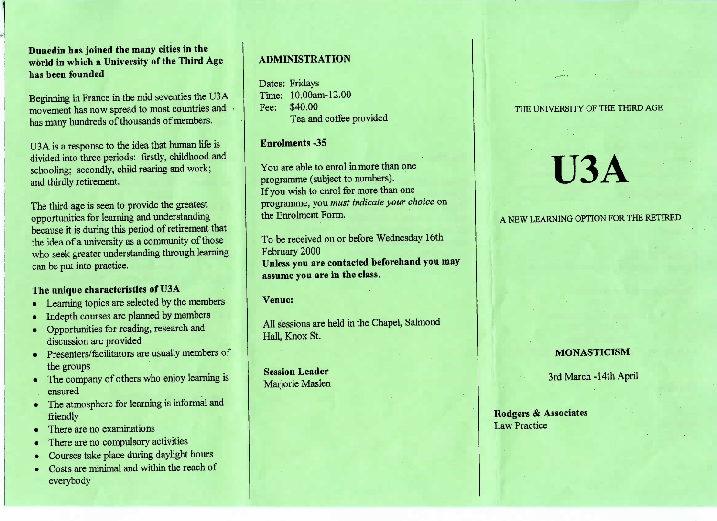**Dunedin has joined the many cities in the world in which a University of the Third Agehas been founded**

Beginning in France in the mid seventies the U3A movement has now spread to most countries andhas many hundreds of thousands of members.

U3 A is a response to the idea that human life isivided into three periods: firstly, childhood and schooling; secondly, child rearing and work;and thirdly retirement.

The third age is seen to provide the greatestpportunities for learning and understanding because it is during this period of retirement thatthe idea of a university as a community of those who seek greater understanding through learningcan be put into practice.

#### **The unique characteristics of U3A**

- Learning topics are selected by the members
- Indepth courses are planned by members
- Opportunities for reading, research anddiscussion are provided
- Presenters/facilitators are usually members of the groups
- The company of others who enjoy learning isensured
- The atmosphere for learning is informal and friendly
- There are no examinations
- There are no compulsory activities
- Courses take place during daylight hours
- Costs are minimal and within the reach of everybody

### **ADMINISTRATION**

ates: Fridays<br>fime: 10.00am-12.00 Fee: \$40.00ca and conce provided

#### **Enrolments -35**

You are able to enrol in more than one programme (subject to numbers). programme (subject to numbers). If you wish to enrol for more than one programme, you *must indicate your choice* onthe Enrolment Form.

To be received on or before Wednesday 16thFebruary 2000 **Unless you are contacted beforehand you mayassume you are in the class.**

**Venue:**

All sessions are held in the Chapel, SalmondHall, Knox St.

**Session Leader**Marjorie Maslen

#### THE UNIVERSITY OF THE THIRD AGE

# **U3A**

#### A NEW LEARNING OPTION FOR THE RETIRED A NEW LEARNING OPTION FOR THE RETIRED

## **MONASTICISM**

3rd March -14th April 3rd March-14th April

**Rodgers & Associates**Law Practice